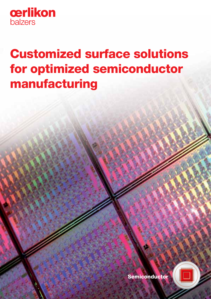

# Customized surface solutions for optimized semiconductor manufacturing



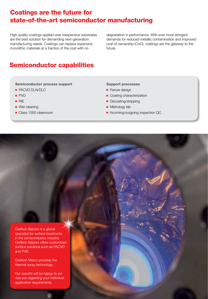### Coatings are the future for state-of-the-art semiconductor manufacturing

High quality coatings applied over inexpensive substrates are the best solution for demanding next-generation manufacturing needs. Coatings can replace expensive monolithic materials at a fraction of the cost with no

degradation in performance. With ever more stringent demands for reduced metallic contamination and improved cost of ownership (CoO), coatings are the gateway to the future.

## Semiconductor capabilities

#### Semiconductor process support

- **PACVD DLN/DLC**
- **PVD**
- **RIE**
- Wet cleaning
- Class 1000 cleanroom

#### Support processes

- **Fixture design**
- Coating characterization
- Decoating/stripping
- **Metrology lab**
- **Incoming/outgoing inspection QC**

Oerlikon Balzers is a global specialist for surface treatments in the semiconductor industry. Oerlikon Balzers offers customized surface solutions such as PACVD and PVD.

Oerlikon Metco provides the thermal spray technology.

Our experts will be happy to advise you regarding your individual application requirements.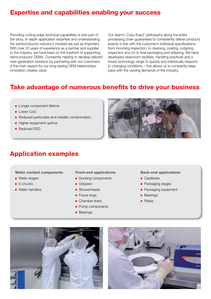### Expertise and capabilities enabling your success

Providing cutting-edge technical capabilities is only part of the story. In-depth application expertise and understanding the semiconductor industry's mindset are just as important. With over 20 years of experience as a partner and supplier to the industry, we have been on the forefront of supporting semiconductor OEMs. Constantly helping to develop tailored next-generation solutions by partnering with our customers is the main reason for our long-lasting OEM relationships: innovation creates value.

Our team's 'Copy Exact' philosophy along the entire processing chain guarantees to consistently deliver products exactly in line with the customer's individual specifications: from incoming inspection, to cleaning, coating, outgoing inspection and on to final packaging and shipping. We have developed cleanroom facilities, handling practices and a broad technology range to quickly and individually respond to changing conditions – this allows us to constantly keep pace with the varying demands of the industry.

## Take advantage of numerous benefits to drive your business

- **Longer component lifetime**
- $\Box$  Lower CoO
- Reduced particulate and metallic contamination
- Higher equipment uptime
- Reduced ESD



### Application examples

Wafer contact components

- **Nafer stages**
- **E-chucks**
- **Nafer handlers**

Front-end applications

- Docking components
- Grippers
- Showerheads
- Focus rings
- Chamber liners
- Pump components
- **Bearings**

#### Back-end applications

- **Capillaries**
- **Packaging stages**
- **Packaging equipment**
- **Bearings**
- **Plates**



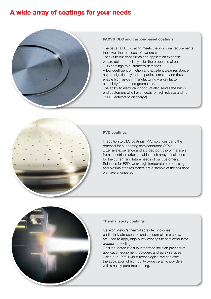### A wide array of coatings for your needs



#### PACVD DLC and carbon-based coatings

The better a DLC coating meets the individual requirements, the lower the total cost of ownership. Thanks to our capabilities and application expertise, we are able to precisely tailor the properties of our DLC coatings to customer's demands. A low coefficient of friction and excellent wear resistance help to significantly reduce particle creation and thus enable high yields in manufacturing – a key factor, especially for reduced geometries. The ability to electrically conduct also serves the backend customers who have needs for high release and no ESD (Electrostatic discharge).



#### PVD coatings

In addition to DLC coatings, PVD solutions carry the potential for supporting semiconductor OEMs. Extensive experience and a broad portfolio of materials from industrial markets enable a rich array of solutions for the current and future needs of our customers. Solutions for ESD, wear, high temperature processing and plasma etch resistance are a sample of the solutions we have engineered.



#### Thermal spray coatings

Oerlikon Metco's thermal spray technologies, particularly atmospheric and vacuum plasma spray, are used to apply high purity coatings to semiconductor production tooling.

Oerlikon Metco is a fully integrated solution provider of application equipment, powders and spray services. Using our LPPS Hybrid technologies, we can offer the application of high purity oxide ceramic powders with a nearly pore-free coating.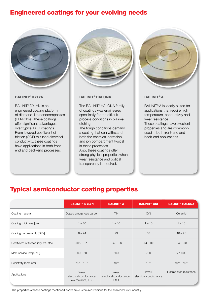### Engineered coatings for your evolving needs



#### BALINIT® DYLYN

BALINIT® DYLYN is an engineered coating platform of diamond-like nanocomposites (DLN) films. These coatings offer significant advantages over typical DLC coatings. From lowered coefficient of friction (COF) to tuned electrical conductivity, these coatings have applications in both frontend and back-end processes.



#### BALINIT® HALONA

The BALINIT® HALONA family of coatings was engineered specifically for the difficult process conditions in plasma etching.

The tough conditions demand a coating that can withstand both the chemical corrosion and ion bombardment typical in these processes. Also, these coatings offer

strong physical properties when wear resistance and optical transparency is required.



#### BALINIT® A

BALINIT® A is ideally suited for applications that require high temperature, conductivity and wear resistance.

These coatings have excellent properties and are commonly used in both front-end and back-end applications.

### Typical semiconductor coating properties

|                                         | <b>BALINIT<sup>®</sup> DYLYN</b>                       | <b>BALINIT<sup>®</sup> A</b>                   | <b>BALINIT<sup>®</sup> CNI</b>  | <b>BALINIT<sup>®</sup> HALONA</b> |
|-----------------------------------------|--------------------------------------------------------|------------------------------------------------|---------------------------------|-----------------------------------|
| Coating material                        | Doped amorphous carbon                                 | TiN                                            | CrN                             | Ceramic                           |
| Coating thickness [µm]                  | $1 - 10$                                               | $1 - 10$                                       | $1 - 10$                        | $1 - 15$                          |
| Coating hardness $H_{\pi}$ [GPa]        | $8 - 24$                                               | 23                                             | 18                              | $10 - 25$                         |
| Coefficient of friction (dry) vs. steel | $0.05 - 0.10$                                          | $0.4 - 0.6$                                    | $0.4 - 0.6$                     | $0.4 - 0.8$                       |
| Max. service temp. [°C]                 | $300 - 600$                                            | 600                                            | 700                             | > 1,000                           |
| Resistivity (ohm.cm)                    | $10^4 - 10^{12}$                                       | $10^{-6}$                                      | $10^{-5}$                       | $10^{11} - 10^{13}$               |
| Applications                            | Wear,<br>electrical conductance,<br>low metallics, ESD | Wear,<br>electrical conductance,<br><b>ESD</b> | Wear,<br>electrical conductance | Plasma etch resistance            |

The properties of these coatings mentioned above are customized versions for the semiconductor industry